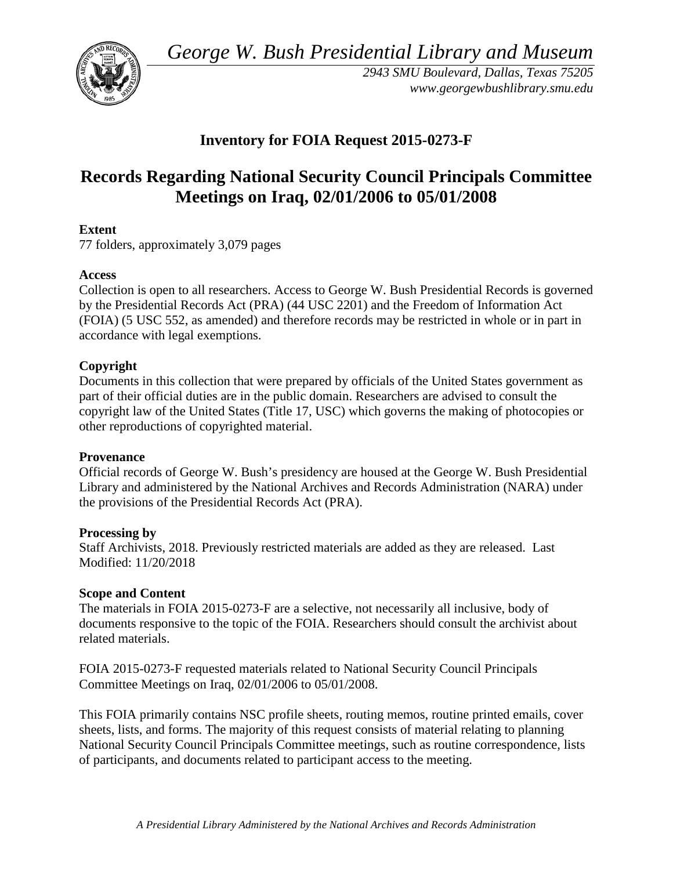*George W. Bush Presidential Library and Museum* 



 *2943 SMU Boulevard, Dallas, Texas 75205 <www.georgewbushlibrary.smu.edu>*

# **Inventory for FOIA Request 2015-0273-F**

# **Records Regarding National Security Council Principals Committee Meetings on Iraq, 02/01/2006 to 05/01/2008**

# **Extent**

77 folders, approximately 3,079 pages

## **Access**

 by the Presidential Records Act (PRA) (44 USC 2201) and the Freedom of Information Act Collection is open to all researchers. Access to George W. Bush Presidential Records is governed (FOIA) (5 USC 552, as amended) and therefore records may be restricted in whole or in part in accordance with legal exemptions.

## **Copyright**

 Documents in this collection that were prepared by officials of the United States government as part of their official duties are in the public domain. Researchers are advised to consult the copyright law of the United States (Title 17, USC) which governs the making of photocopies or other reproductions of copyrighted material.

#### **Provenance**

 Official records of George W. Bush's presidency are housed at the George W. Bush Presidential Library and administered by the National Archives and Records Administration (NARA) under the provisions of the Presidential Records Act (PRA).

#### **Processing by**

 Staff Archivists, 2018. Previously restricted materials are added as they are released. Last Modified: 11/20/2018

#### **Scope and Content**

The materials in FOIA 2015-0273-F are a selective, not necessarily all inclusive, body of documents responsive to the topic of the FOIA. Researchers should consult the archivist about related materials.

FOIA 2015-0273-F requested materials related to National Security Council Principals Committee Meetings on Iraq, 02/01/2006 to 05/01/2008.

 sheets, lists, and forms. The majority of this request consists of material relating to planning This FOIA primarily contains NSC profile sheets, routing memos, routine printed emails, cover National Security Council Principals Committee meetings, such as routine correspondence, lists of participants, and documents related to participant access to the meeting.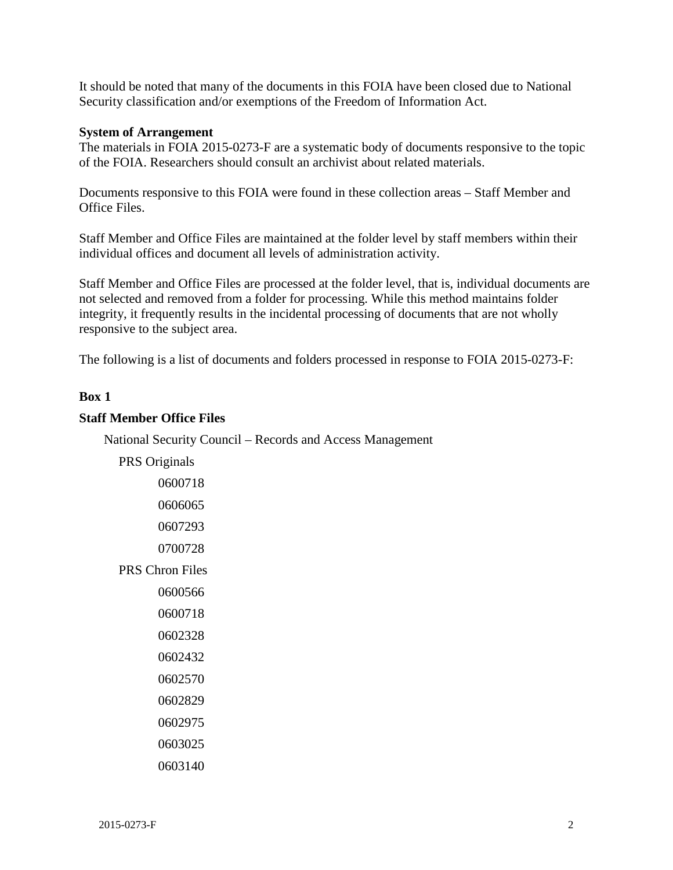It should be noted that many of the documents in this FOIA have been closed due to National Security classification and/or exemptions of the Freedom of Information Act.

#### **System of Arrangement**

The materials in FOIA 2015-0273-F are a systematic body of documents responsive to the topic of the FOIA. Researchers should consult an archivist about related materials.

Documents responsive to this FOIA were found in these collection areas – Staff Member and Office Files.

Staff Member and Office Files are maintained at the folder level by staff members within their individual offices and document all levels of administration activity.

 responsive to the subject area. Staff Member and Office Files are processed at the folder level, that is, individual documents are not selected and removed from a folder for processing. While this method maintains folder integrity, it frequently results in the incidental processing of documents that are not wholly

The following is a list of documents and folders processed in response to FOIA 2015-0273-F:

#### **Box 1**

#### **Staff Member Office Files**

National Security Council – Records and Access Management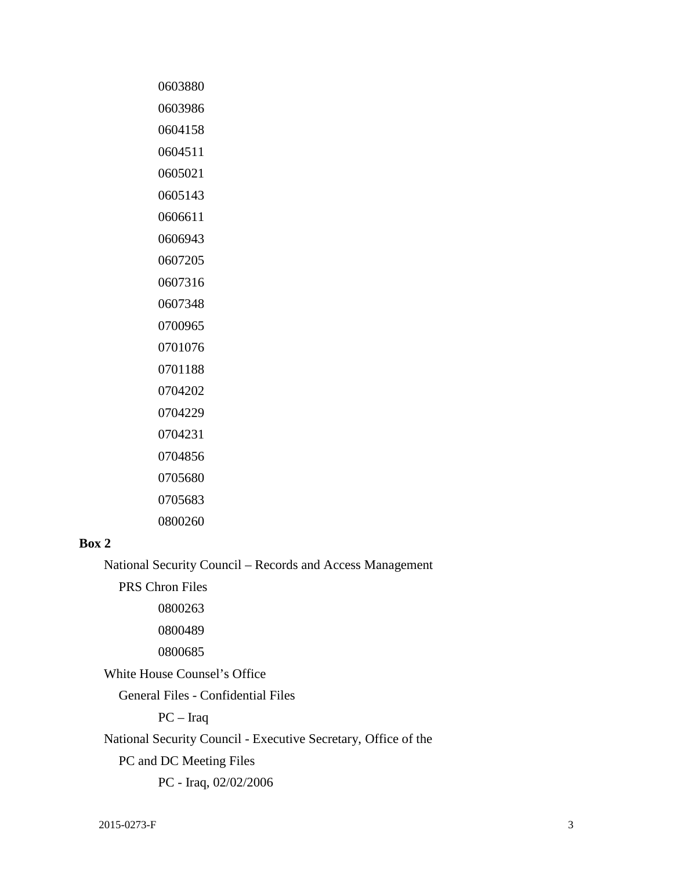| 0603880 |
|---------|
| 0603986 |
| 0604158 |
| 0604511 |
| 0605021 |
| 0605143 |
| 0606611 |
| 0606943 |
| 0607205 |
| 0607316 |
| 0607348 |
| 0700965 |
| 0701076 |
| 0701188 |
| 0704202 |
| 0704229 |
| 0704231 |
| 0704856 |
| 0705680 |
| 0705683 |
| 0800260 |

#### **Box 2**

National Security Council – Records and Access Management

PRS Chron Files

White House Counsel's Office

General Files - Confidential Files

PC – Iraq

National Security Council - Executive Secretary, Office of the

PC and DC Meeting Files

PC - Iraq, 02/02/2006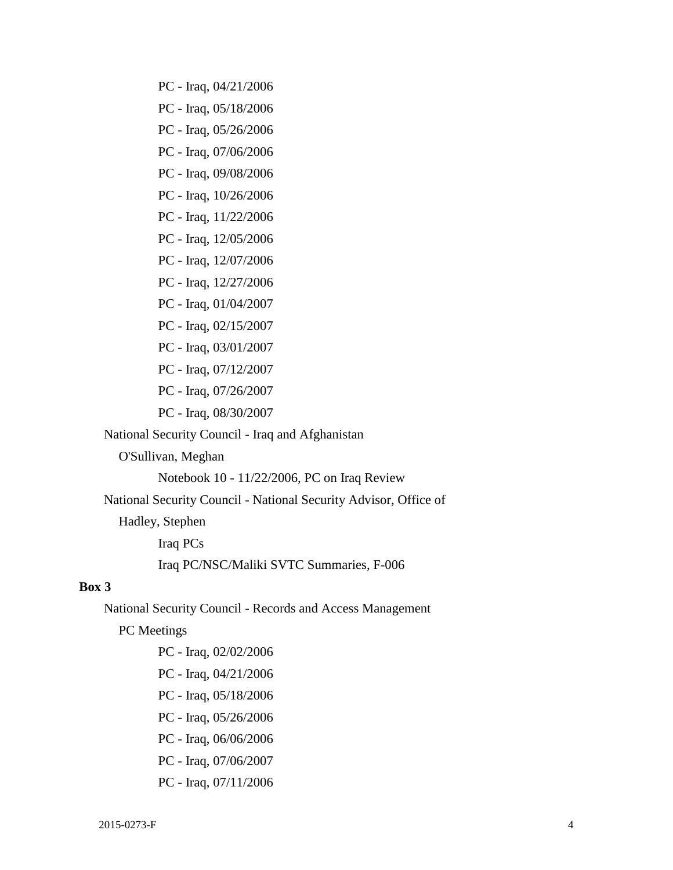- PC Iraq, 04/21/2006
- PC Iraq, 05/18/2006
- PC Iraq, 05/26/2006
- PC Iraq, 07/06/2006
- PC Iraq, 09/08/2006
- PC Iraq, 10/26/2006
- PC Iraq, 11/22/2006
- PC Iraq, 12/05/2006
- PC Iraq, 12/07/2006
- PC Iraq, 12/27/2006
- PC Iraq, 01/04/2007
- PC Iraq, 02/15/2007
- PC Iraq, 03/01/2007
- PC Iraq, 07/12/2007
- PC Iraq, 07/26/2007
- PC Iraq, 08/30/2007

National Security Council - Iraq and Afghanistan

O'Sullivan, Meghan

Notebook 10 - 11/22/2006, PC on Iraq Review

National Security Council - National Security Advisor, Office of

Hadley, Stephen

Iraq PCs Iraq PC/NSC/Maliki SVTC Summaries, F-006

#### **Box 3**

National Security Council - Records and Access Management

PC Meetings

- PC Iraq, 02/02/2006
- PC Iraq, 04/21/2006
- PC Iraq, 05/18/2006
- PC Iraq, 05/26/2006
- PC Iraq, 06/06/2006
- PC Iraq, 07/06/2007
- PC Iraq, 07/11/2006